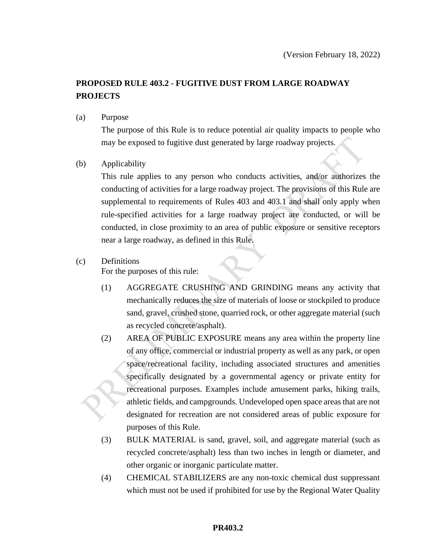# **PROPOSED RULE 403.2 - FUGITIVE DUST FROM LARGE ROADWAY PROJECTS**

(a) Purpose

The purpose of this Rule is to reduce potential air quality impacts to people who may be exposed to fugitive dust generated by large roadway projects.

(b) Applicability

This rule applies to any person who conducts activities, and/or authorizes the conducting of activities for a large roadway project. The provisions of this Rule are supplemental to requirements of Rules 403 and 403.1 and shall only apply when rule-specified activities for a large roadway project are conducted, or will be conducted, in close proximity to an area of public exposure or sensitive receptors near a large roadway, as defined in this Rule.

#### (c) Definitions

For the purposes of this rule:

- (1) AGGREGATE CRUSHING AND GRINDING means any activity that mechanically reduces the size of materials of loose or stockpiled to produce sand, gravel, crushed stone, quarried rock, or other aggregate material (such as recycled concrete/asphalt).
- (2) AREA OF PUBLIC EXPOSURE means any area within the property line of any office, commercial or industrial property as well as any park, or open space/recreational facility, including associated structures and amenities specifically designated by a governmental agency or private entity for recreational purposes. Examples include amusement parks, hiking trails, athletic fields, and campgrounds. Undeveloped open space areas that are not designated for recreation are not considered areas of public exposure for purposes of this Rule.
- (3) BULK MATERIAL is sand, gravel, soil, and aggregate material (such as recycled concrete/asphalt) less than two inches in length or diameter, and other organic or inorganic particulate matter.
- (4) CHEMICAL STABILIZERS are any non-toxic chemical dust suppressant which must not be used if prohibited for use by the Regional Water Quality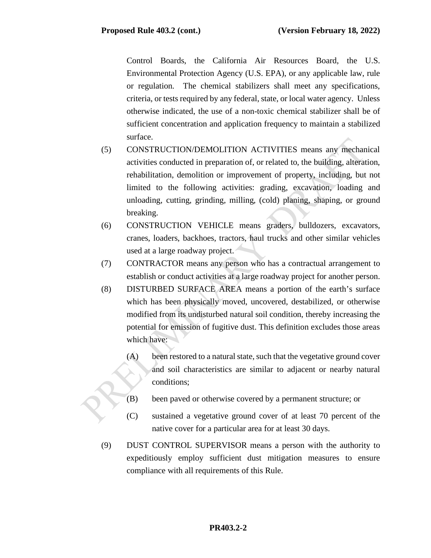Control Boards, the California Air Resources Board, the U.S. Environmental Protection Agency (U.S. EPA), or any applicable law, rule or regulation. The chemical stabilizers shall meet any specifications, criteria, or tests required by any federal, state, or local water agency. Unless otherwise indicated, the use of a non-toxic chemical stabilizer shall be of sufficient concentration and application frequency to maintain a stabilized surface.

- (5) CONSTRUCTION/DEMOLITION ACTIVITIES means any mechanical activities conducted in preparation of, or related to, the building, alteration, rehabilitation, demolition or improvement of property, including, but not limited to the following activities: grading, excavation, loading and unloading, cutting, grinding, milling, (cold) planing, shaping, or ground breaking.
- (6) CONSTRUCTION VEHICLE means graders, bulldozers, excavators, cranes, loaders, backhoes, tractors, haul trucks and other similar vehicles used at a large roadway project.
- (7) CONTRACTOR means any person who has a contractual arrangement to establish or conduct activities at a large roadway project for another person.
- (8) DISTURBED SURFACE AREA means a portion of the earth's surface which has been physically moved, uncovered, destabilized, or otherwise modified from its undisturbed natural soil condition, thereby increasing the potential for emission of fugitive dust. This definition excludes those areas which have:
	- (A) been restored to a natural state, such that the vegetative ground cover and soil characteristics are similar to adjacent or nearby natural conditions;
	- (B) been paved or otherwise covered by a permanent structure; or
	- (C) sustained a vegetative ground cover of at least 70 percent of the native cover for a particular area for at least 30 days.
- (9) DUST CONTROL SUPERVISOR means a person with the authority to expeditiously employ sufficient dust mitigation measures to ensure compliance with all requirements of this Rule.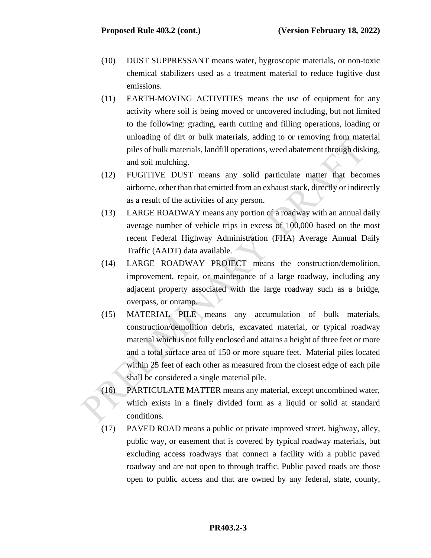- (10) DUST SUPPRESSANT means water, hygroscopic materials, or non-toxic chemical stabilizers used as a treatment material to reduce fugitive dust emissions.
- (11) EARTH-MOVING ACTIVITIES means the use of equipment for any activity where soil is being moved or uncovered including, but not limited to the following: grading, earth cutting and filling operations, loading or unloading of dirt or bulk materials, adding to or removing from material piles of bulk materials, landfill operations, weed abatement through disking, and soil mulching.
- (12) FUGITIVE DUST means any solid particulate matter that becomes airborne, other than that emitted from an exhaust stack, directly or indirectly as a result of the activities of any person.
- (13) LARGE ROADWAY means any portion of a roadway with an annual daily average number of vehicle trips in excess of 100,000 based on the most recent Federal Highway Administration (FHA) Average Annual Daily Traffic (AADT) data available.
- (14) LARGE ROADWAY PROJECT means the construction/demolition, improvement, repair, or maintenance of a large roadway, including any adjacent property associated with the large roadway such as a bridge, overpass, or onramp.
- (15) MATERIAL PILE means any accumulation of bulk materials, construction/demolition debris, excavated material, or typical roadway material which is not fully enclosed and attains a height of three feet or more and a total surface area of 150 or more square feet. Material piles located within 25 feet of each other as measured from the closest edge of each pile shall be considered a single material pile.
- (16) PARTICULATE MATTER means any material, except uncombined water, which exists in a finely divided form as a liquid or solid at standard conditions.
- (17) PAVED ROAD means a public or private improved street, highway, alley, public way, or easement that is covered by typical roadway materials, but excluding access roadways that connect a facility with a public paved roadway and are not open to through traffic. Public paved roads are those open to public access and that are owned by any federal, state, county,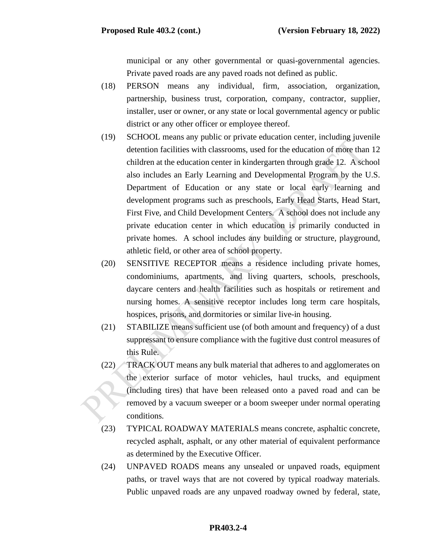municipal or any other governmental or quasi-governmental agencies. Private paved roads are any paved roads not defined as public.

- (18) PERSON means any individual, firm, association, organization, partnership, business trust, corporation, company, contractor, supplier, installer, user or owner, or any state or local governmental agency or public district or any other officer or employee thereof.
- (19) SCHOOL means any public or private education center, including juvenile detention facilities with classrooms, used for the education of more than 12 children at the education center in kindergarten through grade 12. A school also includes an Early Learning and Developmental Program by the U.S. Department of Education or any state or local early learning and development programs such as preschools, Early Head Starts, Head Start, First Five, and Child Development Centers. A school does not include any private education center in which education is primarily conducted in private homes. A school includes any building or structure, playground, athletic field, or other area of school property.
- (20) SENSITIVE RECEPTOR means a residence including private homes, condominiums, apartments, and living quarters, schools, preschools, daycare centers and health facilities such as hospitals or retirement and nursing homes. A sensitive receptor includes long term care hospitals, hospices, prisons, and dormitories or similar live-in housing.
- (21) STABILIZE means sufficient use (of both amount and frequency) of a dust suppressant to ensure compliance with the fugitive dust control measures of this Rule.
- (22) TRACK OUT means any bulk material that adheres to and agglomerates on the exterior surface of motor vehicles, haul trucks, and equipment (including tires) that have been released onto a paved road and can be removed by a vacuum sweeper or a boom sweeper under normal operating conditions.
- (23) TYPICAL ROADWAY MATERIALS means concrete, asphaltic concrete, recycled asphalt, asphalt, or any other material of equivalent performance as determined by the Executive Officer.
- (24) UNPAVED ROADS means any unsealed or unpaved roads, equipment paths, or travel ways that are not covered by typical roadway materials. Public unpaved roads are any unpaved roadway owned by federal, state,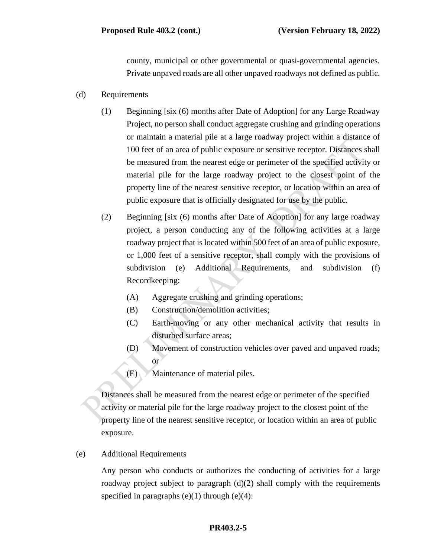county, municipal or other governmental or quasi-governmental agencies. Private unpaved roads are all other unpaved roadways not defined as public.

- (d) Requirements
	- (1) Beginning [six (6) months after Date of Adoption] for any Large Roadway Project, no person shall conduct aggregate crushing and grinding operations or maintain a material pile at a large roadway project within a distance of 100 feet of an area of public exposure or sensitive receptor. Distances shall be measured from the nearest edge or perimeter of the specified activity or material pile for the large roadway project to the closest point of the property line of the nearest sensitive receptor, or location within an area of public exposure that is officially designated for use by the public.
	- (2) Beginning [six (6) months after Date of Adoption] for any large roadway project, a person conducting any of the following activities at a large roadway project that is located within 500 feet of an area of public exposure, or 1,000 feet of a sensitive receptor, shall comply with the provisions of subdivision (e) Additional Requirements, and subdivision (f) Recordkeeping:
		- (A) Aggregate crushing and grinding operations;
		- (B) Construction/demolition activities;
		- (C) Earth-moving or any other mechanical activity that results in disturbed surface areas;
		- (D) Movement of construction vehicles over paved and unpaved roads; or
		- (E) Maintenance of material piles.

Distances shall be measured from the nearest edge or perimeter of the specified activity or material pile for the large roadway project to the closest point of the property line of the nearest sensitive receptor, or location within an area of public exposure.

(e) Additional Requirements

Any person who conducts or authorizes the conducting of activities for a large roadway project subject to paragraph  $(d)(2)$  shall comply with the requirements specified in paragraphs  $(e)(1)$  through  $(e)(4)$ :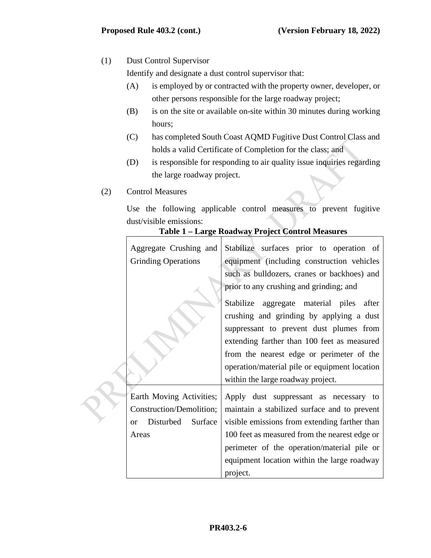# (1) Dust Control Supervisor

Identify and designate a dust control supervisor that:

- (A) is employed by or contracted with the property owner, developer, or other persons responsible for the large roadway project;
- (B) is on the site or available on-site within 30 minutes during working hours;
- (C) has completed South Coast AQMD Fugitive Dust Control Class and holds a valid Certificate of Completion for the class; and
- (D) is responsible for responding to air quality issue inquiries regarding the large roadway project.
- (2) Control Measures

 $\blacksquare$ 

Use the following applicable control measures to prevent fugitive dust/visible emissions:

|  | Table 1 - Large Roadway Project Control Measures |  |  |  |
|--|--------------------------------------------------|--|--|--|
|--|--------------------------------------------------|--|--|--|

| Aggregate Crushing and<br><b>Grinding Operations</b>                                                | Stabilize surfaces prior to operation of<br>equipment (including construction vehicles<br>such as bulldozers, cranes or backhoes) and                                                                                                                                                                                                                        |
|-----------------------------------------------------------------------------------------------------|--------------------------------------------------------------------------------------------------------------------------------------------------------------------------------------------------------------------------------------------------------------------------------------------------------------------------------------------------------------|
|                                                                                                     | prior to any crushing and grinding; and<br>Stabilize aggregate material piles after<br>crushing and grinding by applying a dust<br>suppressant to prevent dust plumes from<br>extending farther than 100 feet as measured<br>from the nearest edge or perimeter of the<br>operation/material pile or equipment location<br>within the large roadway project. |
| Earth Moving Activities;<br>Construction/Demolition;<br>Disturbed Surface<br><sub>or</sub><br>Areas | Apply dust suppressant as necessary to<br>maintain a stabilized surface and to prevent<br>visible emissions from extending farther than<br>100 feet as measured from the nearest edge or<br>perimeter of the operation/material pile or<br>equipment location within the large roadway<br>project.                                                           |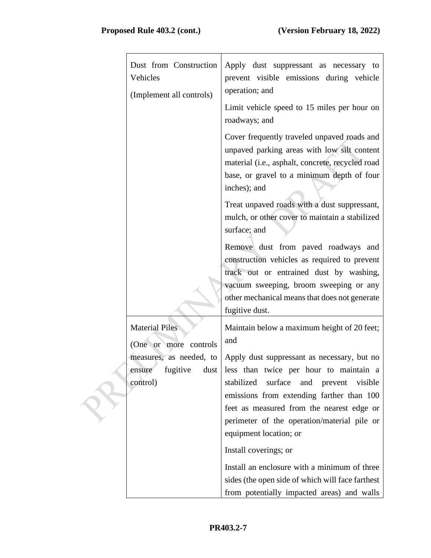| Dust from Construction<br>Vehicles<br>(Implement all controls)      | Apply dust suppressant as necessary to<br>prevent visible emissions during vehicle<br>operation; and<br>Limit vehicle speed to 15 miles per hour on<br>roadways; and                                                                        |
|---------------------------------------------------------------------|---------------------------------------------------------------------------------------------------------------------------------------------------------------------------------------------------------------------------------------------|
|                                                                     | Cover frequently traveled unpaved roads and<br>unpaved parking areas with low silt content<br>material (i.e., asphalt, concrete, recycled road<br>base, or gravel to a minimum depth of four<br>inches); and                                |
|                                                                     | Treat unpaved roads with a dust suppressant,<br>mulch, or other cover to maintain a stabilized<br>surface; and                                                                                                                              |
|                                                                     | Remove dust from paved roadways and<br>construction vehicles as required to prevent<br>track out or entrained dust by washing,<br>vacuum sweeping, broom sweeping or any<br>other mechanical means that does not generate<br>fugitive dust. |
| <b>Material Piles</b><br>(One or more controls                      | Maintain below a maximum height of 20 feet;<br>and                                                                                                                                                                                          |
| measures, as needed, to<br>fugitive<br>dust  <br>ensure<br>control) | Apply dust suppressant as necessary, but no<br>less than twice per hour to maintain a<br>stabilized<br>surface<br>and prevent<br>visible<br>emissions from extending farther than 100<br>feet as measured from the nearest edge or          |
|                                                                     | perimeter of the operation/material pile or<br>equipment location; or<br>Install coverings; or                                                                                                                                              |
|                                                                     | Install an enclosure with a minimum of three<br>sides (the open side of which will face farthest<br>from potentially impacted areas) and walls                                                                                              |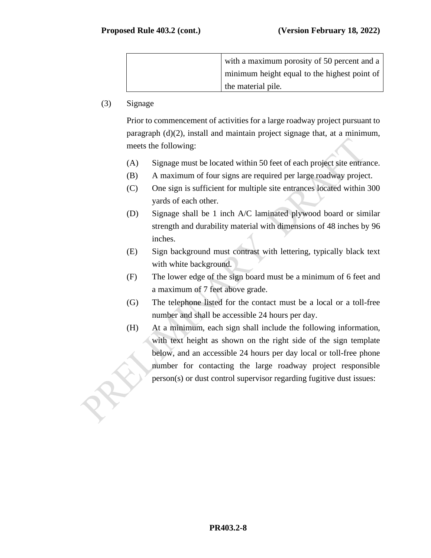| with a maximum porosity of 50 percent and a  |
|----------------------------------------------|
| minimum height equal to the highest point of |
| the material pile.                           |

# (3) Signage

Prior to commencement of activities for a large roadway project pursuant to paragraph (d)(2), install and maintain project signage that, at a minimum, meets the following:

- (A) Signage must be located within 50 feet of each project site entrance.
- (B) A maximum of four signs are required per large roadway project.
- (C) One sign is sufficient for multiple site entrances located within 300 yards of each other.
- (D) Signage shall be 1 inch A/C laminated plywood board or similar strength and durability material with dimensions of 48 inches by 96 inches.
- (E) Sign background must contrast with lettering, typically black text with white background.
- (F) The lower edge of the sign board must be a minimum of 6 feet and a maximum of 7 feet above grade.
- (G) The telephone listed for the contact must be a local or a toll-free number and shall be accessible 24 hours per day.
- (H) At a minimum, each sign shall include the following information, with text height as shown on the right side of the sign template below, and an accessible 24 hours per day local or toll-free phone number for contacting the large roadway project responsible person(s) or dust control supervisor regarding fugitive dust issues: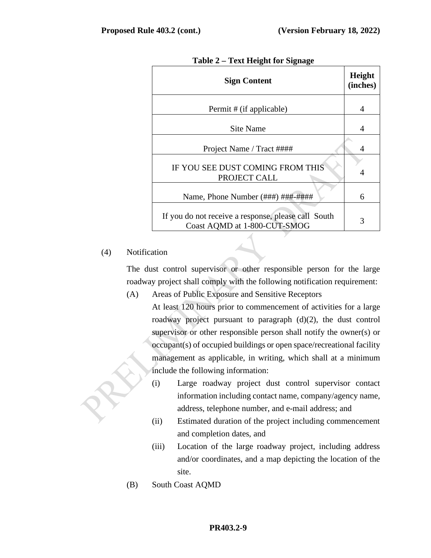| <b>Sign Content</b>                                                                 | Height<br>(inches) |
|-------------------------------------------------------------------------------------|--------------------|
| Permit # (if applicable)                                                            | 4                  |
| Site Name                                                                           | 4                  |
| Project Name / Tract ####                                                           | 4                  |
| IF YOU SEE DUST COMING FROM THIS<br>PROJECT CALL                                    | 4                  |
| Name, Phone Number (###) ###-####                                                   | 6                  |
| If you do not receive a response, please call South<br>Coast AQMD at 1-800-CUT-SMOG | 3                  |

**Table 2 – Text Height for Signage**

## (4) Notification

The dust control supervisor or other responsible person for the large roadway project shall comply with the following notification requirement:

- (A) Areas of Public Exposure and Sensitive Receptors At least 120 hours prior to commencement of activities for a large roadway project pursuant to paragraph (d)(2), the dust control supervisor or other responsible person shall notify the owner(s) or occupant(s) of occupied buildings or open space/recreational facility management as applicable, in writing, which shall at a minimum include the following information:
	- (i) Large roadway project dust control supervisor contact information including contact name, company/agency name, address, telephone number, and e-mail address; and
	- (ii) Estimated duration of the project including commencement and completion dates, and
	- (iii) Location of the large roadway project, including address and/or coordinates, and a map depicting the location of the site.
- (B) South Coast AQMD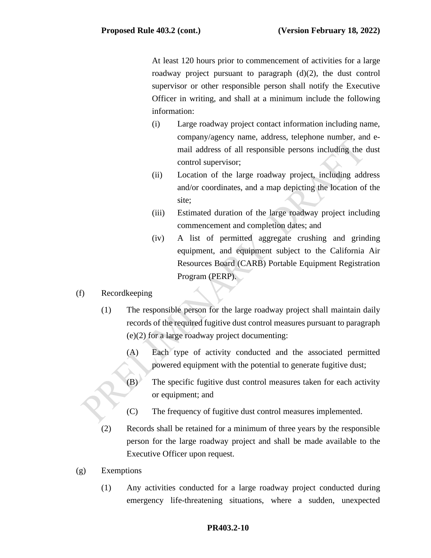At least 120 hours prior to commencement of activities for a large roadway project pursuant to paragraph (d)(2), the dust control supervisor or other responsible person shall notify the Executive Officer in writing, and shall at a minimum include the following information:

- (i) Large roadway project contact information including name, company/agency name, address, telephone number, and email address of all responsible persons including the dust control supervisor;
- (ii) Location of the large roadway project, including address and/or coordinates, and a map depicting the location of the site;
- (iii) Estimated duration of the large roadway project including commencement and completion dates; and
- (iv) A list of permitted aggregate crushing and grinding equipment, and equipment subject to the California Air Resources Board (CARB) Portable Equipment Registration Program (PERP).

## (f) Recordkeeping

- (1) The responsible person for the large roadway project shall maintain daily records of the required fugitive dust control measures pursuant to paragraph (e)(2) for a large roadway project documenting:
	- (A) Each type of activity conducted and the associated permitted powered equipment with the potential to generate fugitive dust;
	- (B) The specific fugitive dust control measures taken for each activity or equipment; and
	- (C) The frequency of fugitive dust control measures implemented.
- (2) Records shall be retained for a minimum of three years by the responsible person for the large roadway project and shall be made available to the Executive Officer upon request.
- (g) Exemptions
	- (1) Any activities conducted for a large roadway project conducted during emergency life-threatening situations, where a sudden, unexpected

#### **PR403.2-10**